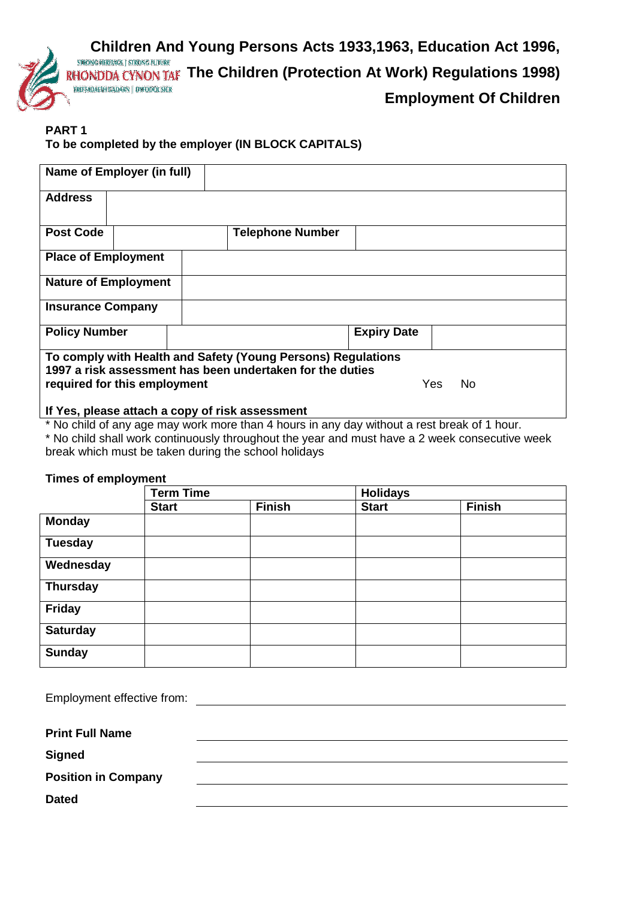

## **PART 1**

## **To be completed by the employer (IN BLOCK CAPITALS)**

| Name of Employer (in full)                                                                                                |                         |                    |  |  |
|---------------------------------------------------------------------------------------------------------------------------|-------------------------|--------------------|--|--|
| <b>Address</b>                                                                                                            |                         |                    |  |  |
| <b>Post Code</b>                                                                                                          | <b>Telephone Number</b> |                    |  |  |
| <b>Place of Employment</b>                                                                                                |                         |                    |  |  |
| <b>Nature of Employment</b>                                                                                               |                         |                    |  |  |
| <b>Insurance Company</b>                                                                                                  |                         |                    |  |  |
| <b>Policy Number</b>                                                                                                      |                         | <b>Expiry Date</b> |  |  |
| To comply with Health and Safety (Young Persons) Regulations<br>1997 a risk assessment has been undertaken for the duties |                         |                    |  |  |
| Yes.<br><b>No</b><br>required for this employment                                                                         |                         |                    |  |  |
| If Yes, please attach a copy of risk assessment                                                                           |                         |                    |  |  |

\* No child of any age may work more than 4 hours in any day without a rest break of 1 hour.

\* No child shall work continuously throughout the year and must have a 2 week consecutive week break which must be taken during the school holidays

## **Times of employment**

|                 | <b>Term Time</b> |               | <b>Holidays</b> |               |
|-----------------|------------------|---------------|-----------------|---------------|
|                 | <b>Start</b>     | <b>Finish</b> | <b>Start</b>    | <b>Finish</b> |
| <b>Monday</b>   |                  |               |                 |               |
| <b>Tuesday</b>  |                  |               |                 |               |
| Wednesday       |                  |               |                 |               |
| <b>Thursday</b> |                  |               |                 |               |
| <b>Friday</b>   |                  |               |                 |               |
| <b>Saturday</b> |                  |               |                 |               |
| <b>Sunday</b>   |                  |               |                 |               |

| Employment effective from: |  |
|----------------------------|--|
| <b>Print Full Name</b>     |  |
| <b>Signed</b>              |  |
| <b>Position in Company</b> |  |
| <b>Dated</b>               |  |